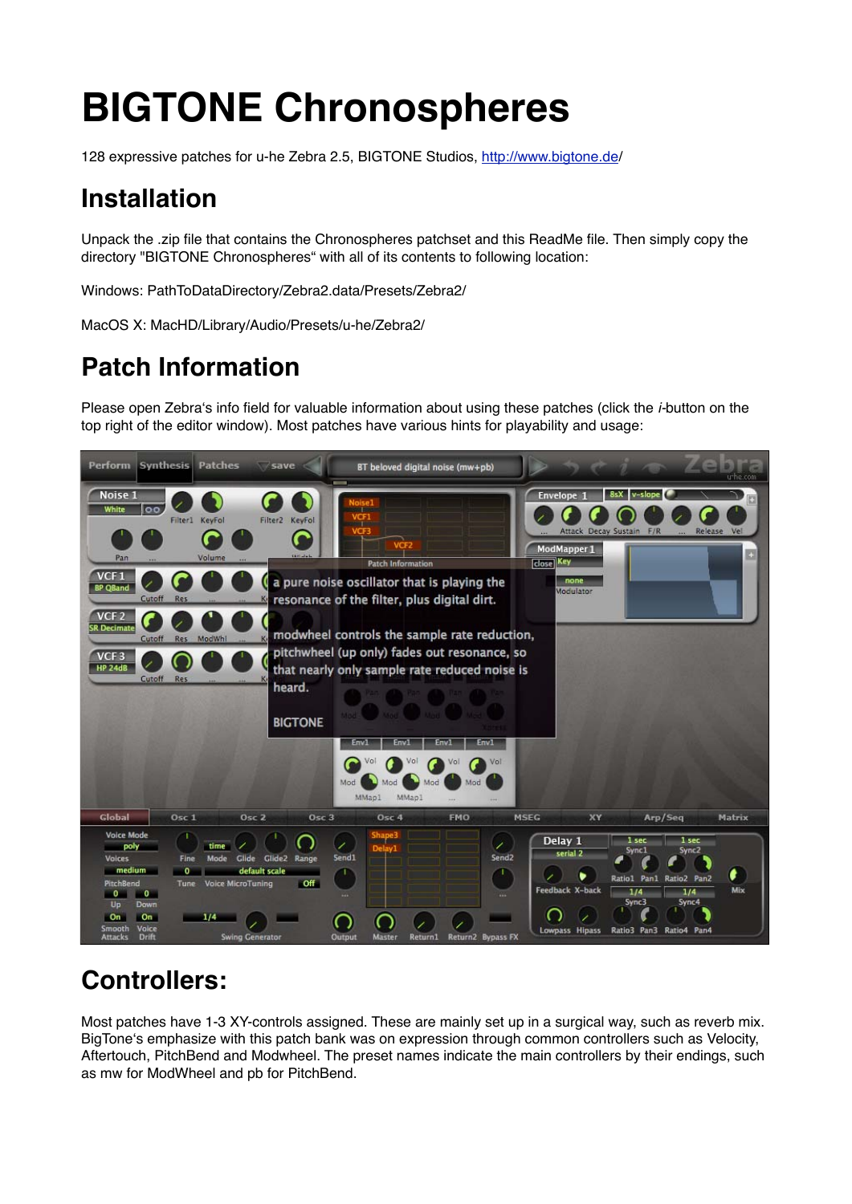# **BIGTONE Chronospheres**

128 expressive patches for u-he Zebra 2.5, BIGTONE Studios, http://www.bigtone.de/

# **Installation**

Unpack the .zip file that contains the Chronospheres patchset and this ReadMe file. Then simply copy the directory "BIGTONE Chronospheres" with all of its contents to following location:

Windows: PathToDataDirectory/Zebra2.data/Presets/Zebra2/

MacOS X: MacHD/Library/Audio/Presets/u-he/Zebra2/

# **Patch Information**

Please open Zebra's info field for valuable information about using these patches (click the *i-*button on the top right of the editor window). Most patches have various hints for playability and usage:



# **Controllers:**

Most patches have 1-3 XY-controls assigned. These are mainly set up in a surgical way, such as reverb mix. BigTone's emphasize with this patch bank was on expression through common controllers such as Velocity, Aftertouch, PitchBend and Modwheel. The preset names indicate the main controllers by their endings, such as mw for ModWheel and pb for PitchBend.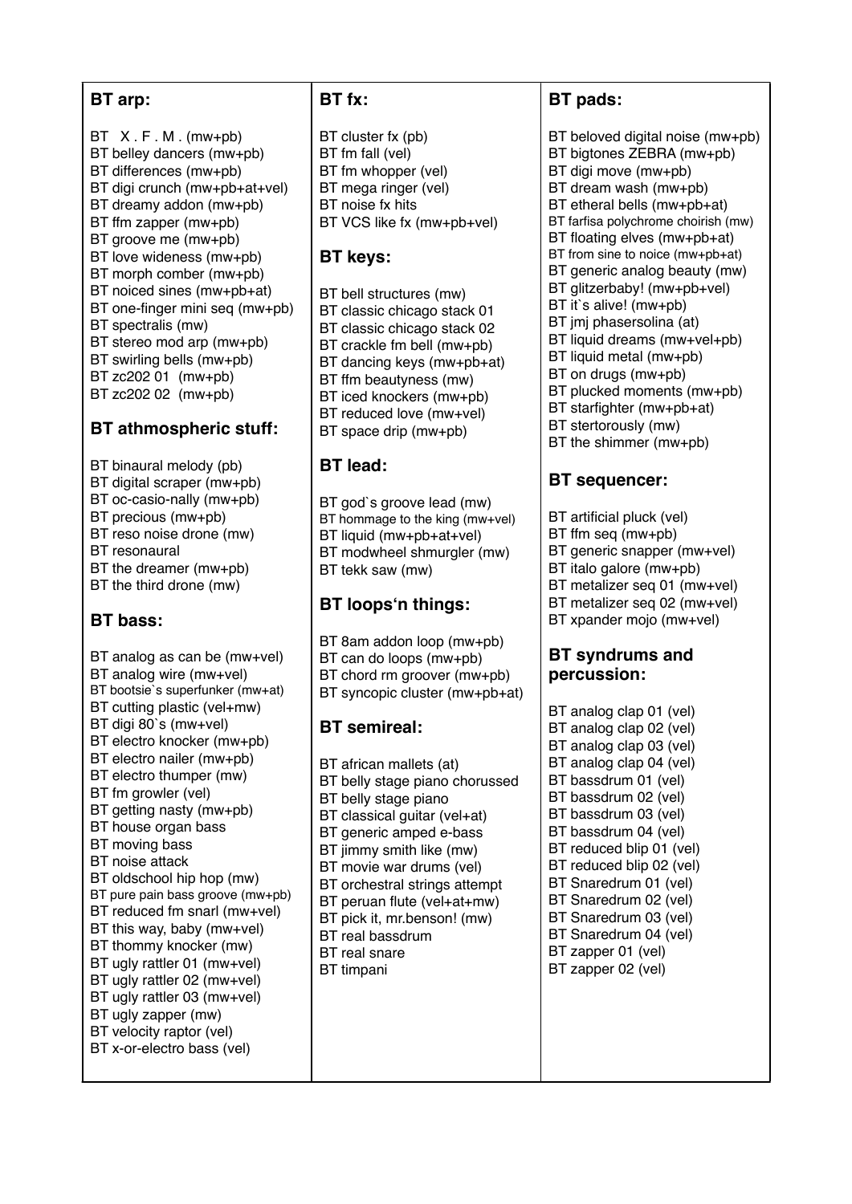#### **BT arp:**

 $BT X.F.M.(mw+pb)$ BT belley dancers (mw+pb) BT differences (mw+pb) BT digi crunch (mw+pb+at+vel) BT dreamy addon (mw+pb) BT ffm zapper (mw+pb) BT groove me (mw+pb) BT love wideness (mw+pb) BT morph comber (mw+pb) BT noiced sines (mw+pb+at) BT one-finger mini seq (mw+pb) BT spectralis (mw) BT stereo mod arp (mw+pb) BT swirling bells (mw+pb) BT zc202 01 (mw+pb) BT zc202 02 (mw+pb)

#### **BT athmospheric stuff:**

- BT binaural melody (pb) BT digital scraper (mw+pb) BT oc-casio-nally (mw+pb)
- BT precious (mw+pb)
- BT reso noise drone (mw)
- BT resonaural
- BT the dreamer (mw+pb)
- BT the third drone (mw)

# **BT bass:**

BT analog as can be (mw+vel) BT analog wire (mw+vel) BT bootsie`s superfunker (mw+at) BT cutting plastic (vel+mw) BT digi 80`s (mw+vel) BT electro knocker (mw+pb) BT electro nailer (mw+pb) BT electro thumper (mw) BT fm growler (vel) BT getting nasty (mw+pb) BT house organ bass BT moving bass BT noise attack BT oldschool hip hop (mw) BT pure pain bass groove (mw+pb) BT reduced fm snarl (mw+vel) BT this way, baby (mw+vel) BT thommy knocker (mw) BT ugly rattler 01 (mw+vel) BT ugly rattler 02 (mw+vel) BT ugly rattler 03 (mw+vel) BT ugly zapper (mw) BT velocity raptor (vel) BT x-or-electro bass (vel)

#### **BT fx:**

BT cluster fx (pb) BT fm fall (vel) BT fm whopper (vel) BT mega ringer (vel) BT noise fx hits BT VCS like fx (mw+pb+vel)

#### **BT keys:**

BT bell structures (mw) BT classic chicago stack 01 BT classic chicago stack 02 BT crackle fm bell (mw+pb) BT dancing keys (mw+pb+at) BT ffm beautyness (mw) BT iced knockers (mw+pb) BT reduced love (mw+vel) BT space drip (mw+pb)

## **BT lead:**

BT god`s groove lead (mw) BT hommage to the king (mw+vel) BT liquid (mw+pb+at+vel) BT modwheel shmurgler (mw) BT tekk saw (mw)

## **BT loopsn things:**

BT 8am addon loop (mw+pb) BT can do loops (mw+pb) BT chord rm groover (mw+pb) BT syncopic cluster (mw+pb+at)

## **BT semireal:**

BT african mallets (at) BT belly stage piano chorussed BT belly stage piano BT classical guitar (vel+at) BT generic amped e-bass BT jimmy smith like (mw) BT movie war drums (vel) BT orchestral strings attempt BT peruan flute (vel+at+mw) BT pick it, mr.benson! (mw) BT real bassdrum BT real snare BT timpani

## **BT pads:**

BT beloved digital noise (mw+pb) BT bigtones ZEBRA (mw+pb) BT digi move (mw+pb) BT dream wash (mw+pb) BT etheral bells (mw+pb+at) BT farfisa polychrome choirish (mw) BT floating elves (mw+pb+at) BT from sine to noice (mw+pb+at) BT generic analog beauty (mw) BT glitzerbaby! (mw+pb+vel) BT it`s alive! (mw+pb) BT imi phasersolina (at) BT liquid dreams (mw+vel+pb) BT liquid metal (mw+pb) BT on drugs (mw+pb) BT plucked moments (mw+pb) BT starfighter (mw+pb+at) BT stertorously (mw) BT the shimmer (mw+pb)

# **BT sequencer:**

BT artificial pluck (vel) BT ffm seq (mw+pb) BT generic snapper (mw+vel) BT italo galore (mw+pb) BT metalizer seq 01 (mw+vel) BT metalizer seq 02 (mw+vel) BT xpander mojo (mw+vel)

#### **BT syndrums and percussion:**

BT analog clap 01 (vel) BT analog clap 02 (vel) BT analog clap 03 (vel) BT analog clap 04 (vel) BT bassdrum 01 (vel) BT bassdrum 02 (vel) BT bassdrum 03 (vel) BT bassdrum 04 (vel) BT reduced blip 01 (vel) BT reduced blip 02 (vel) BT Snaredrum 01 (vel) BT Snaredrum 02 (vel) BT Snaredrum 03 (vel) BT Snaredrum 04 (vel) BT zapper 01 (vel) BT zapper 02 (vel)